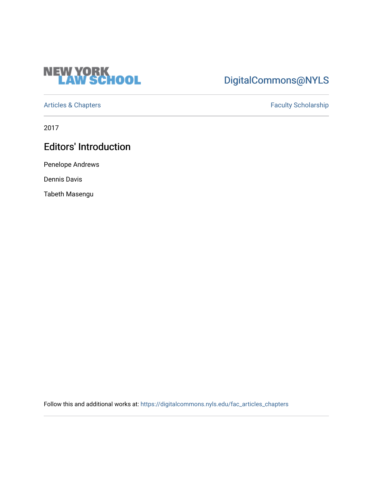

## [DigitalCommons@NYLS](https://digitalcommons.nyls.edu/)

[Articles & Chapters](https://digitalcommons.nyls.edu/fac_articles_chapters) **Faculty Scholarship** 

2017

## Editors' Introduction

Penelope Andrews

Dennis Davis

Tabeth Masengu

Follow this and additional works at: [https://digitalcommons.nyls.edu/fac\\_articles\\_chapters](https://digitalcommons.nyls.edu/fac_articles_chapters?utm_source=digitalcommons.nyls.edu%2Ffac_articles_chapters%2F1453&utm_medium=PDF&utm_campaign=PDFCoverPages)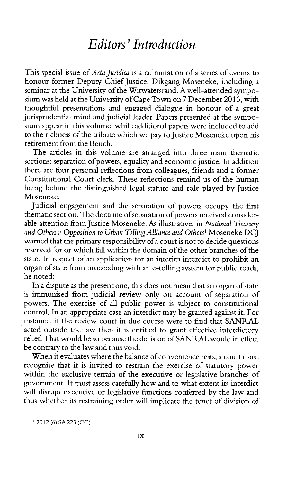## *Editors' Introduction*

This special issue of *Acta Juridica* is a culmination of a series of events to honour former Deputy Chief Justice, Dikgang Moseneke, including a seminar at the University of the Witwatersrand. **A** well-attended symposium was held at the University of Cape Town on **7** December **2016,** with thoughtful presentations and engaged dialogue in honour of a great jurisprudential mind and judicial leader. Papers presented at the symposium appear in this volume, while additional papers were included to add to the richness of the tribute which we pay to Justice Moseneke upon his retirement from the Bench.

The articles in this volume are arranged into three main thematic sections: separation of powers, equality and economic justice. In addition there are four personal reflections from colleagues, friends and a former Constitutional Court clerk. These reflections remind us of the human being behind the distinguished legal stature and role played **by** Justice Moseneke.

Judicial engagement and the separation of powers occupy the first thematic section. The doctrine of separation of powers received considerable attention from Justice Moseneke. As illustrative, in *National Treasury and Others v Opposition to Urban Tolling Alliance and Others'* Moseneke **DCJ** warned that the primary responsibility of a court is not to decide questions reserved for or which fall within the domain of the other branches of the state. In respect of an application for an interim interdict to prohibit an organ of state from proceeding with an e-tolling system for public roads, he noted:

In a dispute as the present one, this does not mean that an organ of state is immunised from judicial review only on account of separation of powers. The exercise of all public power is subject to constitutional control. In an appropriate case an interdict may be granted against it. For instance, if the review court in due course were to find that **SANRAL** acted outside the law then it is entitled to grant effective interdictory relief. That would be so because the decision of SANRAL would in effect be contrary to the law and thus void.

When it evaluates where the balance of convenience rests, a court must recognise that it is invited to restrain the exercise of statutory power within the exclusive terrain of the executive or legislative branches of government. It must assess carefully how and to what extent its interdict will disrupt executive or legislative functions conferred **by** the law and thus whether its restraining order will implicate the tenet of division of

12012 **(6) SA 223 (CC).**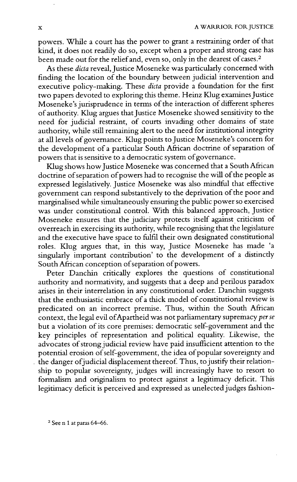powers. While a court has the power to grant a restraining order of that kind, it does not readily do so, except when a proper and strong case has been made out for the relief and, even so, only in the dearest of cases. <sup>2</sup>

As these *dicta* reveal, Justice Moseneke was particularly concerned with finding the location of the boundary between judicial intervention and executive policy-making. These *dicta* provide a foundation for the first two papers devoted to exploring this theme. Heinz Klug examines Justice Moseneke's jurisprudence in terms of the interaction of different spheres of authority. Klug argues that Justice Moseneke showed sensitivity to the need for judicial restraint, of courts invading other domains of state authority, while still remaining alert to the need for institutional integrity at all levels of governance. Klug points to Justice Moseneke's concern for the development of a particular South African doctrine of separation of powers that is sensitive to a democratic system of governance.

Klug shows how Justice Moseneke was concerned that a South African doctrine of separation of powers had to recognise the will of the people as expressed legislatively. Justice Moseneke was also mindful that effective government can respond substantively to the deprivation of the poor and marginalised while simultaneously ensuring the public power so exercised was under constitutional control. With this balanced approach, Justice Moseneke ensures that the judiciary protects itself against criticism of overreach **in** exercising its authority, while recognising that the legislature and the executive have space to fulfil their own designated constitutional roles. Klug argues that, in this way, Justice Moseneke has made 'a singularly important contribution' to the development of a distinctly South African conception of separation of powers.

Peter Danchin critically explores the questions of constitutional authority and normativity, and suggests that a deep and perilous paradox arises in their interrelation in any constitutional order. Danchin suggests that the enthusiastic embrace of a thick model of constitutional review **is** predicated on an incorrect premise. Thus, within the South African context, the legal evil of Apartheid was not parliamentary supremacy per se but a violation of its core premises: democratic self-government and the key principles of representation and political equality. Likewise, the advocates of strongjudicial review have paid insufficient attention to the potential erosion of self-government, the idea of popular sovereignty and the danger of judicial displacement thereof. Thus, to justify their relationship to popular sovereignty, judges will increasingly have to resort to formalism and originalism to protect against a legitimacy deficit. This legitimacy deficit is perceived and expressed as unelected judges fashion-

**<sup>2</sup>**See n 1 at paras **64-66.**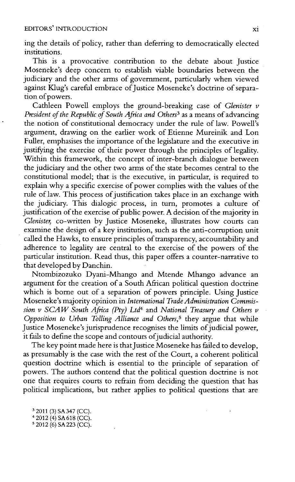ing the details of policy, rather than deferring to democratically elected institutions.

This is a provocative contribution to the debate about Justice Moseneke's deep concern to establish viable boundaries between the judiciary and the other arms of government, particularly when viewed against Klug's careful embrace of Justice Moseneke's doctrine of separation of powers.

Cathleen Powell employs the ground-breaking case of *Glenister v President of the Republic of South Africa and Others<sup>3</sup>*as a means of advancing the notion of constitutional democracy under the rule of law. Powell's argument, drawing on the earlier work of Etienne Mureinik and Lon Fuller, emphasises the importance of the legislature and the executive in justifying the exercise of their power through the principles of legality. Within this framework, the concept of inter-branch dialogue between the judiciary and the other two arms of the state becomes central to the constitutional model; that is the executive, in particular, **is** required to explain why a specific exercise of power complies with the values of the rule of law. This process of justification takes place in an exchange with the judiciary. This dialogic process, in turn, promotes a culture of justification of the exercise of public power. **A** decision of the majority in *Glenister,* co-written **by** Justice Moseneke, illustrates how courts can examine the design of a key institution, such as the anti-corruption unit called the Hawks, to ensure principles of transparency, accountability and adherence to legality are central to the exercise of the powers of the particular institution. Read thus, this paper offers a counter-narrative to that developed **by** Danchin.

Ntombizozuko Dyani-Mhango and Mtende Mhango advance an argument for the creation of a South African political question doctrine which is borne out of a separation of powers principle. Using Justice Moseneke's majority opinion in *International Trade Administration Com mission v SCAW South Africa (Pty) Ltd<sup>4</sup>and National Treasury and Others v Opposition to Urban Tolling Alliance and Others,<sup>5</sup>*they argue that while Justice Moseneke's jurisprudence recognises the limits of judicial power, it fails to define the scope and contours of judicial authority.

The key point made here is that Justice Moseneke has failed to develop, as presumably is the case with the rest of the Court, a coherent political question doctrine which is essential to the principle of separation of powers. The authors contend that the political question doctrine is not one that requires courts to refrain from deciding the question that has political implications, but rather applies to political questions that are

32011 **(3) SA347 (CC).** 4 2012 (4) **SA 618 (CC).** s 2012 **(6) SA223 (CC).**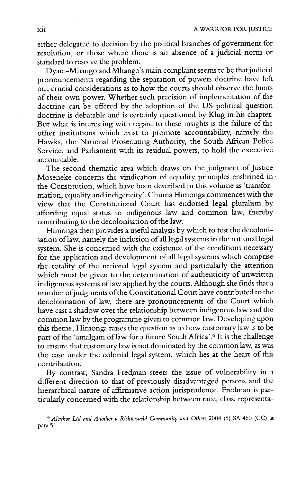either delegated to decision **by** the political branches of government for resolution, or those where there is an absence of a judicial norm or standard to resolve the problem.

Dyani-Mhango and Mhango's main complaint seems to be that judicial pronouncements regarding the separation of powers doctrine have left out crucial considerations as to how the courts should observe the limits of their own power. Whether such precision of implementation of the doctrine can be offered **by** the adoption of the **US** political question doctrine is debatable and is certainly questioned **by** Klug in his chapter. But what is interesting with regard to these insights is the failure of the other institutions which exist to promote accountability, namely the Hawks, the National Prosecuting Authority, the South African Police Service, and Parliament with its residual powers, to hold the executive accountable.

The second thematic area which draws on the judgment of Justice Moseneke concerns the vindication of equality principles enshrined **in** the Constitution, which have been described in this volume as 'transformation, equality and indigeneity'. Chuma Himonga commences with the view that the Constitutional Court has endorsed legal pluralism **by** affording equal status to indigenous law and common law, thereby contributing to the decolonisation of the law.

Himonga then provides a useful analysis **by** which to test the decolonisation of law, namely the inclusion of all legal systems in the national legal system. She is concerned with the existence of the conditions necessary for the application and development of all legal systems which comprise the totality of the national legal system and particularly the attention which must be given to the determination of authenticity of unwritten indigenous systems of law applied **by** the courts. Although she finds that a number of judgments of the Constitutional Court have contributed to the decolonisation of law, there are pronouncements of the Court which have cast a shadow over the relationship between indigenous law and the common law **by** the programme given to common law. Developing upon this theme, Himonga raises the question as to how customary law is to be part of the 'amalgam of law for a future South Africa'.<sup>6</sup> It is the challenge to ensure that customary law is not dominated **by** the common law, as was the case under the colonial legal system, which lies at the heart of this contribution.

By contrast, Sandra Fredman steers the issue of vulnerability in a different direction to that of previously disadvantaged persons and the hierarchical nature of affirmative action jurisprudence. Fredman is particularly concerned with the relationship between race, class, representa-

**6** *Alexkor Ltd and Another v Richtersveld Community and Others* 2004 **(5) SA** 460 **(CC)** *at* **para 51.**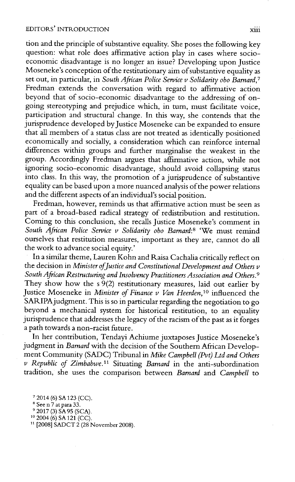tion and the principle of substantive equality. She poses the following key question: what role does affirmative action play in cases where socioeconomic disadvantage is no longer an issue? Developing upon Justice Moseneke's conception of the restitutionary aim of substantive equality as set out, in particular, in *South African Police Service v Solidarity obo Barnard,<sup>7</sup>* Fredman extends the conversation with regard to affirmative action beyond that of socio-economic disadvantage to the addressing of ongoing stereotyping and prejudice which, in turn, must facilitate voice, participation and structural change. In this way, she contends that the jurisprudence developed by Justice Moseneke can be expanded to ensure that all members of a status class are not treated as identically positioned economically and socially, a consideration which can reinforce internal differences within groups and further marginalise the weakest in the group. Accordingly Fredman argues that affirmative action, while not ignoring socio-economic disadvantage, should avoid collapsing status into class. In this way, the promotion of a jurisprudence of substantive equality can be based upon a more nuanced analysis of the power relations and the different aspects of an individual's social position.

Fredman, however, reminds us that affirmative action must be seen as part of a broad-based radical strategy of redistribution and restitution. Coming to this conclusion, she recalls Justice Moseneke's comment in *South African Police Service v Solidarity obo Barnard:<sup>8</sup>*'We must remind ourselves that restitution measures, important as they are, cannot do all the work to advance social equity.'

In a similar theme, Lauren Kohn and Raisa Cachalia critically reflect on the decision in *Minister of Justice and Constitutional Development and Others v South African Restructuring and Insolvency Practitioners Association and Others.<sup>9</sup>* They show how the s **9(2)** restitutionary measures, laid out earlier **by** Justice Moseneke in *Minister of Finance v Van Heerden,<sup>10</sup>*influenced the SARIPAjudgment. This is so in particular regarding the negotiation to go beyond a mechanical system for historical restitution, to an equality jurisprudence that addresses the legacy of the racism of the past as it forges a path towards a non-racist future.

In her contribution, Tendayi Achiume juxtaposes Justice Moseneke's judgment in *Barnard* with the decision of the Southern African Development Community **(SADC)** Tribunal in *Mike Campbell (Pvt) Ltd and Others v Republic of Zimbabwe." Situating Barnard* in the anti-subordination tradition, she uses the comparison between *Barnard and Campbell to*

<sup>2014</sup> **(6) SA 123 (CC).**

**<sup>8</sup>** See n **7** at para **33.**

**<sup>92017 (3)</sup> SA95 (SCA).**

**<sup>10</sup>**2004 **(6) SA** 121 **(CC).**

n **[2008] SADCT** 2 **(28** November **2008).**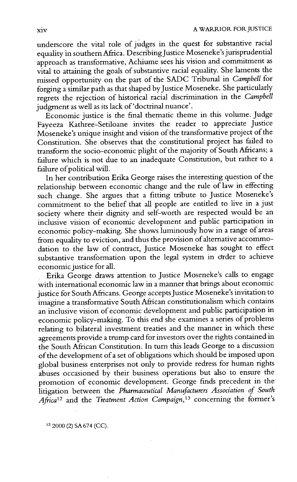underscore the vital role of judges **in** the quest for substantive racial equality in southern Africa. Describing Justice Moseneke's jurisprudential approach as transformative, Achiume sees his vision and commitment as vital to attaining the goals of substantive racial equality. She laments the missed opportunity on the part of the **SADC** Tribunal in *Campbell for* forging a similar path as that shaped by Justice Moseneke. She particularly regrets the rejection of historical racial discrimination in the *Campbell* judgment as well as its lack of 'doctrinal nuance'.

Economic justice is the final thematic theme in this volume. judge Fayeeza Kathree-Setiloane invites the reader to appreciate justice Moseneke's unique insight and vision of the transformative project of the Constitution. She observes that the constitutional project has failed to transform the socio-economic plight of the majority of South Africans; a failure which is not due to an inadequate Constitution, but rather to a failure of political will.

In her contribution Erika George raises the interesting question of the relationship between economic change and the rule of law in effecting such change. She argues that a fitting tribute to Justice Moseneke's commitment to the belief that all people are entitled to live in a just society where their dignity and self-worth are respected would be an inclusive vision of economic development and public participation in economic policy-making. She shows luminously how in a range of areas from equality to eviction, and thus the provision of alternative accommodation to the law of contract, Justice Moseneke has sought to effect substantive transformation upon the legal system in crder to achieve economic justice for all.

**.** Erika George draws attention to Justice Moseneke's calls to engage with international economic law in a manner that brings about economic justice for South Africans. George accepts Justice Moseneke's invitation to imagine a transformative South African constitutionalism which contains an inclusive vision of economic development and public participation in economic policy-making. To this end she examines a series of problems relating to bilateral investment treaties and the manner in which these agreements provide a trump card for investors over the rights contained in the South African Constitution. In turn this leads George to a discussion of the development of a set of obligations which should be imposed upon global business enterprises not only to provide redress for human rights abuses occasioned **by** their business operations but also to ensure the promotion of economic development. George finds precedent in the litigation between the *Pharmaceutical Manufacturers Association of South Africa<sup>12</sup>* and the *Treatment Action Campaign,<sup>13</sup>* concerning the former's

<sup>12</sup>2000 (2) **SA** 674 **(CC).**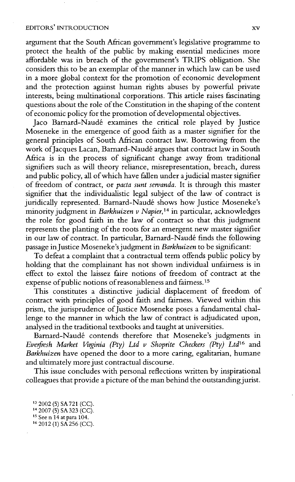## EDITORS' INTRODUCTION

argument that the South African government's legislative programme to protect the health of the public **by** making essential medicines more affordable was **in** breach of the government's TRIPS obligation. She considers this to be an exemplar of the manner in which law can be used in a more global context for the promotion of economic development and the protection against human rights abuses **by** powerful private interests, being multinational corporations. This article raises fascinating questions about the role of the Constitution in the shaping of the content of economic policy for the promotion of developmental objectives.

Jaco Barnard-Naud6 examines the critical role played **by** Justice Moseneke in the emergence of good faith as a master signifier for the general principles of South African contract law. Borrowing from the work of Jacques Lacan, Barnard-Naudé argues that contract law in South Africa is in the process of significant change away from traditional signifiers such as will theory reliance, misrepresentation, breach, duress and public policy, all of which have fallen under a judicial master signifier of freedom of contract, or *pacta sunt servanda.* It is through this master signifier that the individualistic legal subject of the law of contract is juridically represented. Barnard-Naudé shows how Justice Moseneke's minority judgment in *Barkhuizen v Napier,14* in particular, acknowledges the role for good faith in the law of contract so that this judgment represents the planting of the roots for an emergent new master signifier in our law of contract. In particular, Barnard-Naudé finds the following passage in Justice Moseneke's judgment in *Barkhuizen* to be significant:

To defeat a complaint that a contractual term offends public policy **by** holding that the complainant has not shown individual unfairness is in effect to extol the laissez faire notions of freedom of contract at the expense of public notions of reasonableness and fairness.<sup>15</sup>

This constitutes a distinctive judicial displacement of freedom of contract with principles of good faith and fairness. Viewed within this prism, the jurisprudence of Justice Moseneke poses a fundamental challenge to the manner in which the law of contract is adjudicated upon, analysed in the traditional textbooks and taught at universities.

Barnard-Naudé contends therefore that Moseneke's judgments in *Everfresh Market Virginia (Pty) Ltd v Shoprite Checkers (Pty) Ltd<sup>16</sup> and Barkhuizen* have opened the door to a more caring, egalitarian, humane and ultimately more just contractual discourse.

This issue concludes with personal reflections written **by** inspirational colleagues that provide a picture of the man behind the outstanding jurist.

**<sup>13</sup>**2002 **(5) SA721 (CC).**

<sup>14</sup>**2007 (5) SA 323 (CC).**

**<sup>15</sup>**See n 14 at para 104.

**<sup>16</sup>**2012 **(1) SA 256 (CC).**